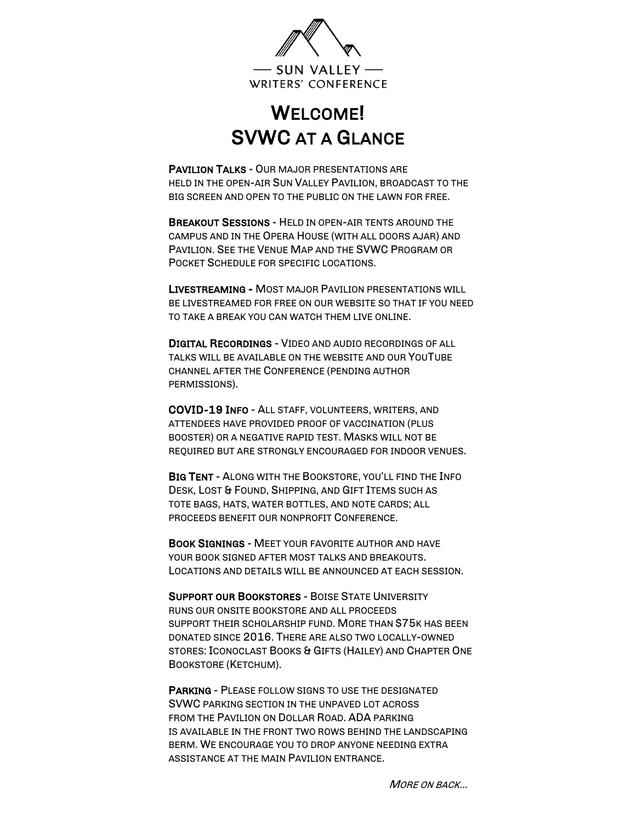

## WELCOME! SVWC AT A GLANCE

PAVILION TALKS - OUR MAJOR PRESENTATIONS ARE HELD IN THE OPEN-AIR SUN VALLEY PAVILION, BROADCAST TO THE BIG SCREEN AND OPEN TO THE PUBLIC ON THE LAWN FOR FREE.

BREAKOUT SESSIONS - HELD IN OPEN-AIR TENTS AROUND THE CAMPUS AND IN THE OPERA HOUSE (WITH ALL DOORS AJAR) AND PAVILION. SEE THE VENUE MAP AND THE SVWC PROGRAM OR POCKET SCHEDULE FOR SPECIFIC LOCATIONS.

LIVESTREAMING - MOST MAJOR PAVILION PRESENTATIONS WILL BE LIVESTREAMED FOR FREE ON OUR WEBSITE SO THAT IF YOU NEED TO TAKE A BREAK YOU CAN WATCH THEM LIVE ONLINE.

DIGITAL RECORDINGS - VIDEO AND AUDIO RECORDINGS OF ALL TALKS WILL BE AVAILABLE ON THE WEBSITE AND OUR YOUTUBE CHANNEL AFTER THE CONFERENCE (PENDING AUTHOR PERMISSIONS).

COVID-19 INFO - ALL STAFF, VOLUNTEERS, WRITERS, AND ATTENDEES HAVE PROVIDED PROOF OF VACCINATION (PLUS BOOSTER) OR A NEGATIVE RAPID TEST. MASKS WILL NOT BE REQUIRED BUT ARE STRONGLY ENCOURAGED FOR INDOOR VENUES.

BIG TENT - ALONG WITH THE BOOKSTORE, YOU'LL FIND THE INFO DESK, LOST & FOUND, SHIPPING, AND GIFT ITEMS SUCH AS TOTE BAGS, HATS, WATER BOTTLES, AND NOTE CARDS; ALL PROCEEDS BENEFIT OUR NONPROFIT CONFERENCE.

BOOK SIGNINGS - MEET YOUR FAVORITE AUTHOR AND HAVE YOUR BOOK SIGNED AFTER MOST TALKS AND BREAKOUTS. LOCATIONS AND DETAILS WILL BE ANNOUNCED AT EACH SESSION.

SUPPORT OUR BOOKSTORES - BOISE STATE UNIVERSITY RUNS OUR ONSITE BOOKSTORE AND ALL PROCEEDS SUPPORT THEIR SCHOLARSHIP FUND. MORE THAN \$75K HAS BEEN DONATED SINCE 2016. THERE ARE ALSO TWO LOCALLY-OWNED STORES: ICONOCLAST BOOKS & GIFTS (HAILEY) AND CHAPTER ONE BOOKSTORE (KETCHUM).

PARKING - PLEASE FOLLOW SIGNS TO USE THE DESIGNATED SVWC PARKING SECTION IN THE UNPAVED LOT ACROSS FROM THE PAVILION ON DOLLAR ROAD. ADA PARKING IS AVAILABLE IN THE FRONT TWO ROWS BEHIND THE LANDSCAPING BERM. WE ENCOURAGE YOU TO DROP ANYONE NEEDING EXTRA ASSISTANCE AT THE MAIN PAVILION ENTRANCE.